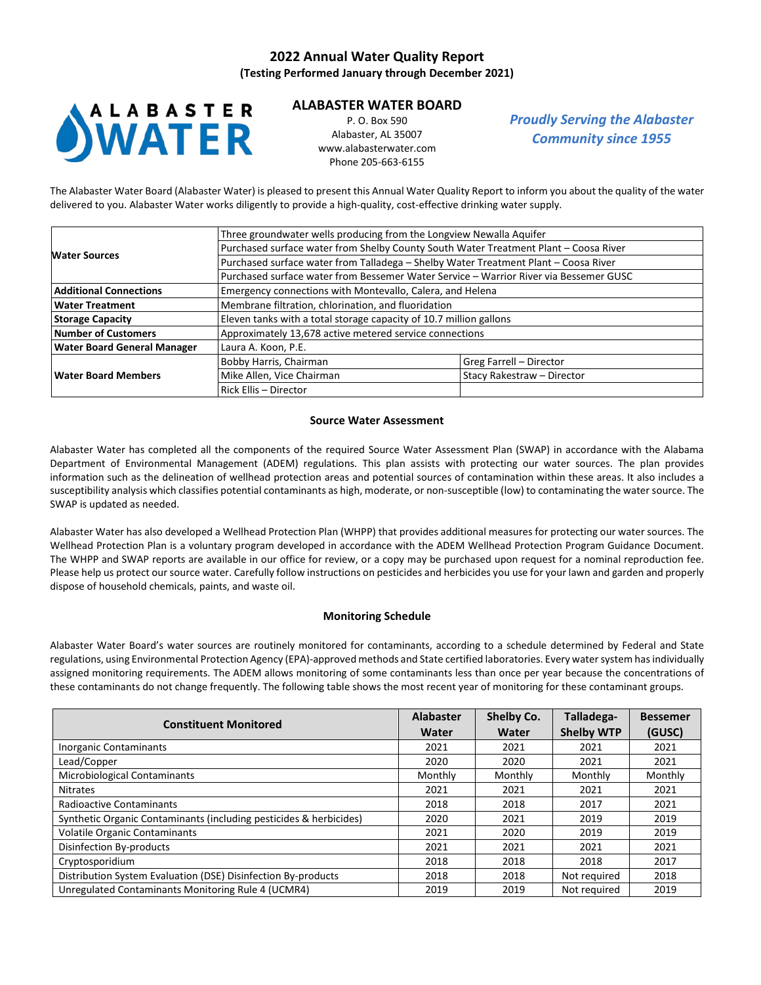# **2022 Annual Water Quality Report**

**(Testing Performed January through December 2021)**



# **ALABASTER WATER BOARD**

P. O. Box 590 Alabaster, AL 35007 [www.alabasterwater.com](http://www.alabasterwater.com/) Phone 205-663-6155

*Proudly Serving the Alabaster Community since 1955*

The Alabaster Water Board (Alabaster Water) is pleased to present this Annual Water Quality Report to inform you about the quality of the water delivered to you. Alabaster Water works diligently to provide a high-quality, cost-effective drinking water supply.

|                                    | Three groundwater wells producing from the Longview Newalla Aquifer                   |                                                           |  |  |  |  |  |
|------------------------------------|---------------------------------------------------------------------------------------|-----------------------------------------------------------|--|--|--|--|--|
| <b>Water Sources</b>               | Purchased surface water from Shelby County South Water Treatment Plant - Coosa River  |                                                           |  |  |  |  |  |
|                                    | Purchased surface water from Talladega - Shelby Water Treatment Plant - Coosa River   |                                                           |  |  |  |  |  |
|                                    | Purchased surface water from Bessemer Water Service - Warrior River via Bessemer GUSC |                                                           |  |  |  |  |  |
| <b>Additional Connections</b>      |                                                                                       | Emergency connections with Montevallo, Calera, and Helena |  |  |  |  |  |
| Water Treatment                    | Membrane filtration, chlorination, and fluoridation                                   |                                                           |  |  |  |  |  |
| <b>Storage Capacity</b>            | Eleven tanks with a total storage capacity of 10.7 million gallons                    |                                                           |  |  |  |  |  |
| Number of Customers                | Approximately 13,678 active metered service connections                               |                                                           |  |  |  |  |  |
| <b>Water Board General Manager</b> | Laura A. Koon, P.E.                                                                   |                                                           |  |  |  |  |  |
|                                    | Bobby Harris, Chairman                                                                | Greg Farrell - Director                                   |  |  |  |  |  |
| <b>Water Board Members</b>         | Mike Allen, Vice Chairman                                                             | Stacy Rakestraw - Director                                |  |  |  |  |  |
|                                    | Rick Ellis - Director                                                                 |                                                           |  |  |  |  |  |

#### **Source Water Assessment**

Alabaster Water has completed all the components of the required Source Water Assessment Plan (SWAP) in accordance with the Alabama Department of Environmental Management (ADEM) regulations. This plan assists with protecting our water sources. The plan provides information such as the delineation of wellhead protection areas and potential sources of contamination within these areas. It also includes a susceptibility analysis which classifies potential contaminants as high, moderate, or non-susceptible (low) to contaminating the water source. The SWAP is updated as needed.

Alabaster Water has also developed a Wellhead Protection Plan (WHPP) that provides additional measures for protecting our water sources. The Wellhead Protection Plan is a voluntary program developed in accordance with the ADEM Wellhead Protection Program Guidance Document. The WHPP and SWAP reports are available in our office for review, or a copy may be purchased upon request for a nominal reproduction fee. Please help us protect our source water. Carefully follow instructions on pesticides and herbicides you use for your lawn and garden and properly dispose of household chemicals, paints, and waste oil.

### **Monitoring Schedule**

Alabaster Water Board's water sources are routinely monitored for contaminants, according to a schedule determined by Federal and State regulations, using Environmental Protection Agency (EPA)-approved methods and State certified laboratories. Every water system has individually assigned monitoring requirements. The ADEM allows monitoring of some contaminants less than once per year because the concentrations of these contaminants do not change frequently. The following table shows the most recent year of monitoring for these contaminant groups.

| <b>Constituent Monitored</b>                                       | <b>Alabaster</b> | Shelby Co. | Talladega-        | <b>Bessemer</b> |
|--------------------------------------------------------------------|------------------|------------|-------------------|-----------------|
|                                                                    | Water            | Water      | <b>Shelby WTP</b> | (GUSC)          |
| <b>Inorganic Contaminants</b>                                      | 2021             | 2021       | 2021              | 2021            |
| Lead/Copper                                                        | 2020             | 2020       | 2021              | 2021            |
| Microbiological Contaminants                                       | Monthly          | Monthly    | Monthly           | Monthly         |
| <b>Nitrates</b>                                                    | 2021             | 2021       | 2021              | 2021            |
| <b>Radioactive Contaminants</b>                                    | 2018             | 2018       | 2017              | 2021            |
| Synthetic Organic Contaminants (including pesticides & herbicides) | 2020             | 2021       | 2019              | 2019            |
| <b>Volatile Organic Contaminants</b>                               | 2021             | 2020       | 2019              | 2019            |
| Disinfection By-products                                           | 2021             | 2021       | 2021              | 2021            |
| Cryptosporidium                                                    | 2018             | 2018       | 2018              | 2017            |
| Distribution System Evaluation (DSE) Disinfection By-products      | 2018             | 2018       | Not required      | 2018            |
| Unregulated Contaminants Monitoring Rule 4 (UCMR4)                 | 2019             | 2019       | Not required      | 2019            |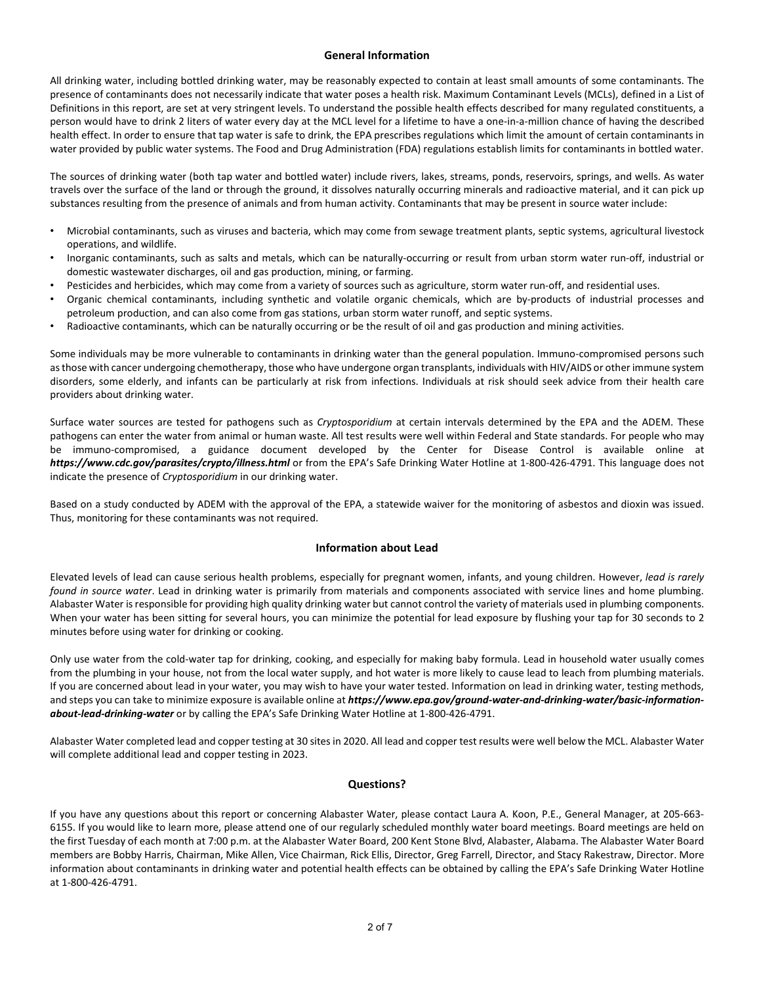### **General Information**

All drinking water, including bottled drinking water, may be reasonably expected to contain at least small amounts of some contaminants. The presence of contaminants does not necessarily indicate that water poses a health risk. Maximum Contaminant Levels (MCLs), defined in a List of Definitions in this report, are set at very stringent levels. To understand the possible health effects described for many regulated constituents, a person would have to drink 2 liters of water every day at the MCL level for a lifetime to have a one-in-a-million chance of having the described health effect. In order to ensure that tap water is safe to drink, the EPA prescribes regulations which limit the amount of certain contaminants in water provided by public water systems. The Food and Drug Administration (FDA) regulations establish limits for contaminants in bottled water.

The sources of drinking water (both tap water and bottled water) include rivers, lakes, streams, ponds, reservoirs, springs, and wells. As water travels over the surface of the land or through the ground, it dissolves naturally occurring minerals and radioactive material, and it can pick up substances resulting from the presence of animals and from human activity. Contaminants that may be present in source water include:

- Microbial contaminants, such as viruses and bacteria, which may come from sewage treatment plants, septic systems, agricultural livestock operations, and wildlife.
- Inorganic contaminants, such as salts and metals, which can be naturally-occurring or result from urban storm water run-off, industrial or domestic wastewater discharges, oil and gas production, mining, or farming.
- Pesticides and herbicides, which may come from a variety of sources such as agriculture, storm water run-off, and residential uses.
- Organic chemical contaminants, including synthetic and volatile organic chemicals, which are by-products of industrial processes and petroleum production, and can also come from gas stations, urban storm water runoff, and septic systems.
- Radioactive contaminants, which can be naturally occurring or be the result of oil and gas production and mining activities.

Some individuals may be more vulnerable to contaminants in drinking water than the general population. Immuno-compromised persons such as those with cancer undergoing chemotherapy, those who have undergone organ transplants, individuals with HIV/AIDS or other immune system disorders, some elderly, and infants can be particularly at risk from infections. Individuals at risk should seek advice from their health care providers about drinking water.

Surface water sources are tested for pathogens such as *Cryptosporidium* at certain intervals determined by the EPA and the ADEM. These pathogens can enter the water from animal or human waste. All test results were well within Federal and State standards. For people who may be immuno-compromised, a guidance document developed by the Center for Disease Control is available online at *https://www.cdc.gov/parasites/crypto/illness.html* or from the EPA's Safe Drinking Water Hotline at 1-800-426-4791. This language does not indicate the presence of *Cryptosporidium* in our drinking water.

Based on a study conducted by ADEM with the approval of the EPA, a statewide waiver for the monitoring of asbestos and dioxin was issued. Thus, monitoring for these contaminants was not required.

### **Information about Lead**

Elevated levels of lead can cause serious health problems, especially for pregnant women, infants, and young children. However, *lead is rarely found in source water*. Lead in drinking water is primarily from materials and components associated with service lines and home plumbing. Alabaster Water is responsible for providing high quality drinking water but cannot control the variety of materials used in plumbing components. When your water has been sitting for several hours, you can minimize the potential for lead exposure by flushing your tap for 30 seconds to 2 minutes before using water for drinking or cooking.

Only use water from the cold-water tap for drinking, cooking, and especially for making baby formula. Lead in household water usually comes from the plumbing in your house, not from the local water supply, and hot water is more likely to cause lead to leach from plumbing materials. If you are concerned about lead in your water, you may wish to have your water tested. Information on lead in drinking water, testing methods, and steps you can take to minimize exposure is available online at *https://www.epa.gov/ground-water-and-drinking-water/basic-informationabout-lead-drinking-water* or by calling the EPA's Safe Drinking Water Hotline at 1-800-426-4791.

Alabaster Water completed lead and copper testing at 30 sites in 2020. All lead and copper test results were well below the MCL. Alabaster Water will complete additional lead and copper testing in 2023.

### **Questions?**

If you have any questions about this report or concerning Alabaster Water, please contact Laura A. Koon, P.E., General Manager, at 205-663- 6155. If you would like to learn more, please attend one of our regularly scheduled monthly water board meetings. Board meetings are held on the first Tuesday of each month at 7:00 p.m. at the Alabaster Water Board, 200 Kent Stone Blvd, Alabaster, Alabama. The Alabaster Water Board members are Bobby Harris, Chairman, Mike Allen, Vice Chairman, Rick Ellis, Director, Greg Farrell, Director, and Stacy Rakestraw, Director. More information about contaminants in drinking water and potential health effects can be obtained by calling the EPA's Safe Drinking Water Hotline at 1-800-426-4791.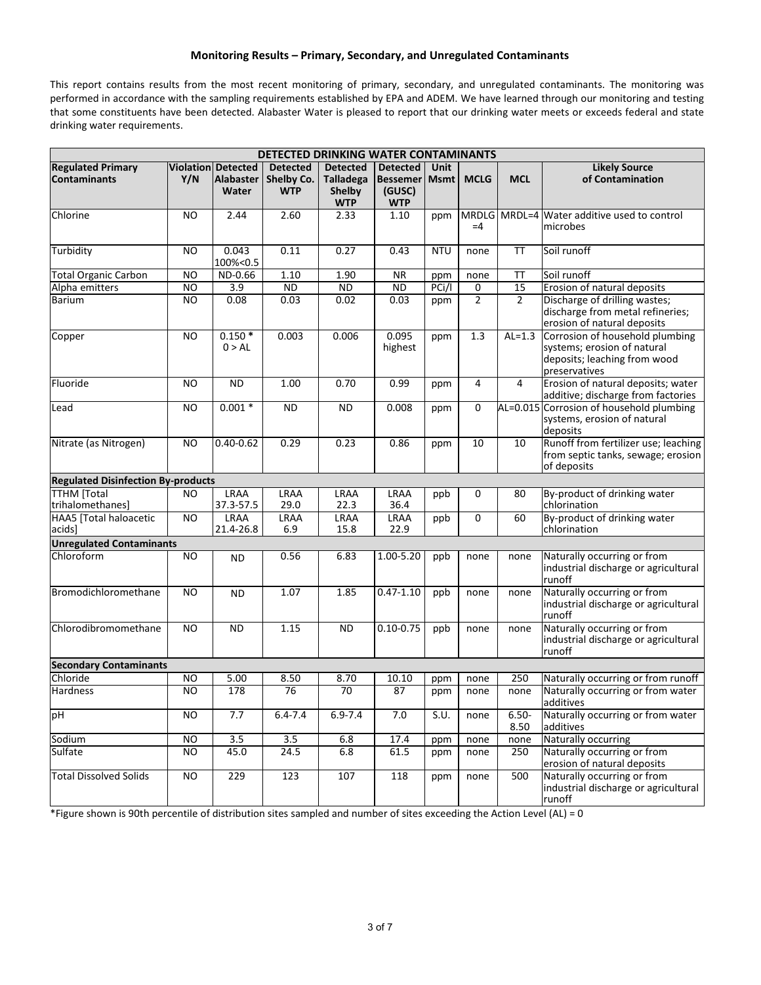# **Monitoring Results – Primary, Secondary, and Unregulated Contaminants**

This report contains results from the most recent monitoring of primary, secondary, and unregulated contaminants. The monitoring was performed in accordance with the sampling requirements established by EPA and ADEM. We have learned through our monitoring and testing that some constituents have been detected. Alabaster Water is pleased to report that our drinking water meets or exceeds federal and state drinking water requirements.

| DETECTED DRINKING WATER CONTAMINANTS            |                 |                                                        |                                             |                                                                    |                                                                     |            |                |                  |                                                                                                                 |
|-------------------------------------------------|-----------------|--------------------------------------------------------|---------------------------------------------|--------------------------------------------------------------------|---------------------------------------------------------------------|------------|----------------|------------------|-----------------------------------------------------------------------------------------------------------------|
| <b>Regulated Primary</b><br><b>Contaminants</b> | Y/N             | <b>Violation Detected</b><br><b>Alabaster</b><br>Water | <b>Detected</b><br>Shelby Co.<br><b>WTP</b> | <b>Detected</b><br><b>Talladega</b><br><b>Shelby</b><br><b>WTP</b> | <b>Detected</b><br><b>Bessemer   Msmt  </b><br>(GUSC)<br><b>WTP</b> | Unit       | <b>MCLG</b>    | <b>MCL</b>       | <b>Likely Source</b><br>of Contamination                                                                        |
| Chlorine                                        | N <sub>O</sub>  | 2.44                                                   | 2.60                                        | 2.33                                                               | 1.10                                                                | ppm        | $=4$           |                  | MRDLG MRDL=4 Water additive used to control<br>microbes                                                         |
| Turbidity                                       | N <sub>O</sub>  | 0.043<br>100%<0.5                                      | 0.11                                        | 0.27                                                               | 0.43                                                                | <b>NTU</b> | none           | TΤ               | Soil runoff                                                                                                     |
| <b>Total Organic Carbon</b>                     | <b>NO</b>       | ND-0.66                                                | 1.10                                        | 1.90                                                               | <b>NR</b>                                                           | ppm        | none           | <b>TT</b>        | Soil runoff                                                                                                     |
| Alpha emitters                                  | <b>NO</b>       | $\overline{3.9}$                                       | $\overline{ND}$                             | <b>ND</b>                                                          | <b>ND</b>                                                           | PCi/I      | 0              | 15               | Erosion of natural deposits                                                                                     |
| <b>Barium</b>                                   | <b>NO</b>       | 0.08                                                   | 0.03                                        | 0.02                                                               | 0.03                                                                | ppm        | $\overline{2}$ | $\overline{2}$   | Discharge of drilling wastes;<br>discharge from metal refineries;<br>erosion of natural deposits                |
| Copper                                          | <b>NO</b>       | $0.150*$<br>0 > AL                                     | 0.003                                       | 0.006                                                              | 0.095<br>highest                                                    | ppm        | 1.3            | $AL=1.3$         | Corrosion of household plumbing<br>systems; erosion of natural<br>deposits; leaching from wood<br>preservatives |
| Fluoride                                        | N <sub>O</sub>  | <b>ND</b>                                              | 1.00                                        | 0.70                                                               | 0.99                                                                | ppm        | 4              | $\overline{4}$   | Erosion of natural deposits; water<br>additive; discharge from factories                                        |
| Lead                                            | <b>NO</b>       | $0.001*$                                               | <b>ND</b>                                   | <b>ND</b>                                                          | 0.008                                                               | ppm        | 0              |                  | AL=0.015 Corrosion of household plumbing<br>systems, erosion of natural<br>deposits                             |
| Nitrate (as Nitrogen)                           | N <sub>O</sub>  | $0.40 - 0.62$                                          | 0.29                                        | 0.23                                                               | 0.86                                                                | ppm        | 10             | $\overline{10}$  | Runoff from fertilizer use; leaching<br>from septic tanks, sewage; erosion<br>of deposits                       |
| <b>Regulated Disinfection By-products</b>       |                 |                                                        |                                             |                                                                    |                                                                     |            |                |                  |                                                                                                                 |
| <b>TTHM</b> [Total<br>trihalomethanes]          | NO              | LRAA<br>37.3-57.5                                      | LRAA<br>29.0                                | <b>LRAA</b><br>22.3                                                | LRAA<br>36.4                                                        | ppb        | 0              | 80               | By-product of drinking water<br>chlorination                                                                    |
| <b>HAA5</b> [Total haloacetic<br>acids]         | $\overline{NO}$ | <b>LRAA</b><br>21.4-26.8                               | LRAA<br>6.9                                 | <b>LRAA</b><br>15.8                                                | <b>LRAA</b><br>22.9                                                 | ppb        | $\Omega$       | 60               | By-product of drinking water<br>chlorination                                                                    |
| <b>Unregulated Contaminants</b>                 |                 |                                                        |                                             |                                                                    |                                                                     |            |                |                  |                                                                                                                 |
| Chloroform                                      | N <sub>O</sub>  | <b>ND</b>                                              | 0.56                                        | 6.83                                                               | 1.00-5.20                                                           | ppb        | none           | none             | Naturally occurring or from<br>industrial discharge or agricultural<br>runoff                                   |
| Bromodichloromethane                            | N <sub>O</sub>  | <b>ND</b>                                              | 1.07                                        | 1.85                                                               | $0.47 - 1.10$                                                       | ppb        | none           | none             | Naturally occurring or from<br>industrial discharge or agricultural<br>runoff                                   |
| Chlorodibromomethane                            | <b>NO</b>       | <b>ND</b>                                              | 1.15                                        | <b>ND</b>                                                          | $0.10 - 0.75$                                                       | ppb        | none           | none             | Naturally occurring or from<br>industrial discharge or agricultural<br>runoff                                   |
| <b>Secondary Contaminants</b>                   |                 |                                                        |                                             |                                                                    |                                                                     |            |                |                  |                                                                                                                 |
| Chloride                                        | NO              | 5.00                                                   | 8.50                                        | 8.70                                                               | 10.10                                                               | ppm        | none           | 250              | Naturally occurring or from runoff                                                                              |
| <b>Hardness</b>                                 | N <sub>O</sub>  | 178                                                    | $\overline{76}$                             | 70                                                                 | 87                                                                  | ppm        | none           | none             | Naturally occurring or from water<br>additives                                                                  |
| pH                                              | <b>NO</b>       | 7.7                                                    | $6.4 - 7.4$                                 | $6.9 - 7.4$                                                        | 7.0                                                                 | S.U.       | none           | $6.50 -$<br>8.50 | Naturally occurring or from water<br>additives                                                                  |
| Sodium                                          | <b>NO</b>       | 3.5                                                    | $\overline{3.5}$                            | 6.8                                                                | 17.4                                                                | ppm        | none           | none             | Naturally occurring                                                                                             |
| Sulfate                                         | <b>NO</b>       | 45.0                                                   | $\overline{24.5}$                           | 6.8                                                                | 61.5                                                                | ppm        | none           | 250              | Naturally occurring or from<br>erosion of natural deposits                                                      |
| <b>Total Dissolved Solids</b>                   | <b>NO</b>       | 229                                                    | 123                                         | 107                                                                | 118                                                                 | ppm        | none           | 500              | Naturally occurring or from<br>industrial discharge or agricultural<br>runoff                                   |

\*Figure shown is 90th percentile of distribution sites sampled and number of sites exceeding the Action Level (AL) = 0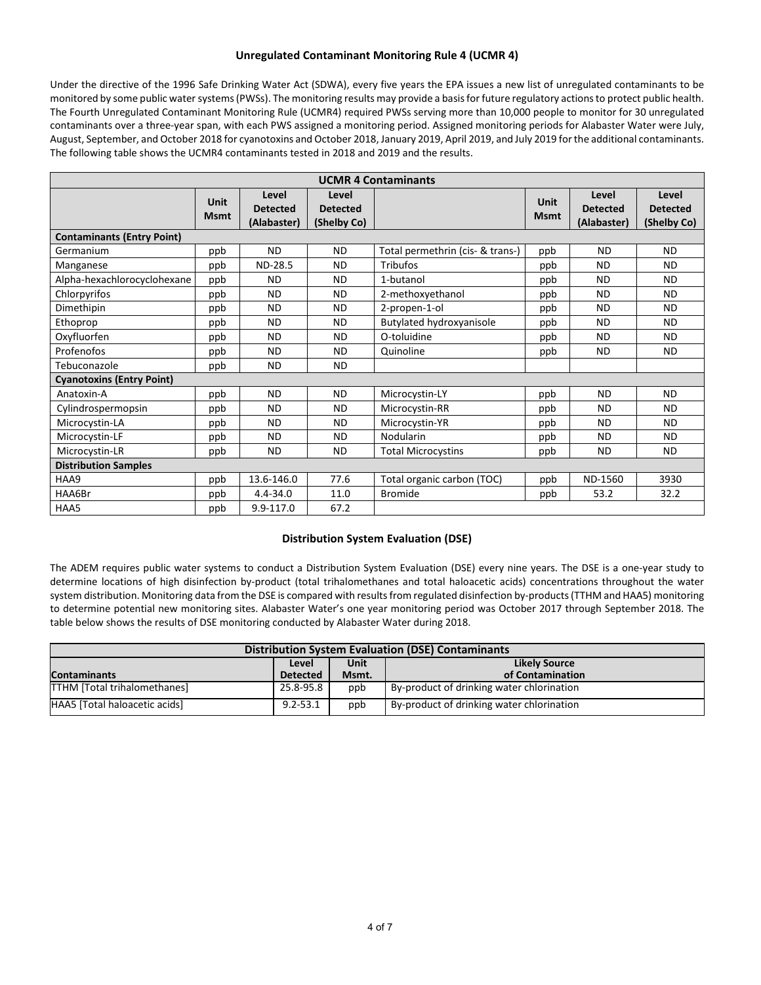# **Unregulated Contaminant Monitoring Rule 4 (UCMR 4)**

Under the directive of the 1996 Safe Drinking Water Act (SDWA), every five years the EPA issues a new list of unregulated contaminants to be monitored by some public water systems (PWSs). The monitoring results may provide a basis for future regulatory actions to protect public health. The Fourth Unregulated Contaminant Monitoring Rule (UCMR4) required PWSs serving more than 10,000 people to monitor for 30 unregulated contaminants over a three-year span, with each PWS assigned a monitoring period. Assigned monitoring periods for Alabaster Water were July, August, September, and October 2018 for cyanotoxins and October 2018, January 2019, April 2019, and July 2019 for the additional contaminants. The following table shows the UCMR4 contaminants tested in 2018 and 2019 and the results.

| <b>UCMR 4 Contaminants</b>        |                            |                                         |                                         |                                  |                     |                                         |                                         |  |  |
|-----------------------------------|----------------------------|-----------------------------------------|-----------------------------------------|----------------------------------|---------------------|-----------------------------------------|-----------------------------------------|--|--|
|                                   | <b>Unit</b><br><b>Msmt</b> | Level<br><b>Detected</b><br>(Alabaster) | Level<br><b>Detected</b><br>(Shelby Co) |                                  | Unit<br><b>Msmt</b> | Level<br><b>Detected</b><br>(Alabaster) | Level<br><b>Detected</b><br>(Shelby Co) |  |  |
| <b>Contaminants (Entry Point)</b> |                            |                                         |                                         |                                  |                     |                                         |                                         |  |  |
| Germanium                         | ppb                        | <b>ND</b>                               | <b>ND</b>                               | Total permethrin (cis- & trans-) | ppb                 | <b>ND</b>                               | <b>ND</b>                               |  |  |
| Manganese                         | ppb                        | ND-28.5                                 | <b>ND</b>                               | <b>Tribufos</b>                  | ppb                 | <b>ND</b>                               | <b>ND</b>                               |  |  |
| Alpha-hexachlorocyclohexane       | ppb                        | <b>ND</b>                               | <b>ND</b>                               | 1-butanol                        | ppb                 | <b>ND</b>                               | <b>ND</b>                               |  |  |
| Chlorpyrifos                      | ppb                        | <b>ND</b>                               | <b>ND</b>                               | 2-methoxyethanol                 | ppb                 | <b>ND</b>                               | <b>ND</b>                               |  |  |
| Dimethipin                        | ppb                        | <b>ND</b>                               | <b>ND</b>                               | 2-propen-1-ol                    | ppb                 | <b>ND</b>                               | <b>ND</b>                               |  |  |
| Ethoprop                          | ppb                        | <b>ND</b>                               | <b>ND</b>                               | Butylated hydroxyanisole         | ppb                 | <b>ND</b>                               | <b>ND</b>                               |  |  |
| Oxyfluorfen                       | ppb                        | <b>ND</b>                               | <b>ND</b>                               | O-toluidine                      | ppb                 | <b>ND</b>                               | <b>ND</b>                               |  |  |
| Profenofos                        | ppb                        | <b>ND</b>                               | <b>ND</b>                               | Quinoline                        | ppb                 | <b>ND</b>                               | <b>ND</b>                               |  |  |
| Tebuconazole                      | ppb                        | <b>ND</b>                               | <b>ND</b>                               |                                  |                     |                                         |                                         |  |  |
| <b>Cyanotoxins (Entry Point)</b>  |                            |                                         |                                         |                                  |                     |                                         |                                         |  |  |
| Anatoxin-A                        | ppb                        | <b>ND</b>                               | <b>ND</b>                               | Microcystin-LY                   | ppb                 | <b>ND</b>                               | <b>ND</b>                               |  |  |
| Cylindrospermopsin                | ppb                        | <b>ND</b>                               | <b>ND</b>                               | Microcystin-RR                   | ppb                 | <b>ND</b>                               | <b>ND</b>                               |  |  |
| Microcystin-LA                    | ppb                        | <b>ND</b>                               | <b>ND</b>                               | Microcystin-YR                   | ppb                 | <b>ND</b>                               | <b>ND</b>                               |  |  |
| Microcystin-LF                    | ppb                        | <b>ND</b>                               | <b>ND</b>                               | Nodularin                        | ppb                 | <b>ND</b>                               | <b>ND</b>                               |  |  |
| Microcystin-LR                    | ppb                        | <b>ND</b>                               | <b>ND</b>                               | <b>Total Microcystins</b>        | ppb                 | <b>ND</b>                               | <b>ND</b>                               |  |  |
| <b>Distribution Samples</b>       |                            |                                         |                                         |                                  |                     |                                         |                                         |  |  |
| HAA9                              | ppb                        | 13.6-146.0                              | 77.6                                    | Total organic carbon (TOC)       | ppb                 | ND-1560                                 | 3930                                    |  |  |
| HAA6Br                            | ppb                        | $4.4 - 34.0$                            | 11.0                                    | <b>Bromide</b>                   | ppb                 | 53.2                                    | 32.2                                    |  |  |
| HAA5                              | ppb                        | 9.9-117.0                               | 67.2                                    |                                  |                     |                                         |                                         |  |  |

### **Distribution System Evaluation (DSE)**

The ADEM requires public water systems to conduct a Distribution System Evaluation (DSE) every nine years. The DSE is a one-year study to determine locations of high disinfection by-product (total trihalomethanes and total haloacetic acids) concentrations throughout the water system distribution. Monitoring data from the DSE is compared with results from regulated disinfection by-products(TTHM and HAA5) monitoring to determine potential new monitoring sites. Alabaster Water's one year monitoring period was October 2017 through September 2018. The table below shows the results of DSE monitoring conducted by Alabaster Water during 2018.

| <b>Distribution System Evaluation (DSE) Contaminants</b> |                 |       |                                           |  |  |  |
|----------------------------------------------------------|-----------------|-------|-------------------------------------------|--|--|--|
| Unit<br><b>Likely Source</b><br>Level                    |                 |       |                                           |  |  |  |
| <b>Contaminants</b>                                      | <b>Detected</b> | Msmt. | of Contamination                          |  |  |  |
| <b>TTHM</b> [Total trihalomethanes]                      | 25.8-95.8       | ppb   | By-product of drinking water chlorination |  |  |  |
| HAA5 [Total haloacetic acids]                            | $9.2 - 53.1$    | ppb   | By-product of drinking water chlorination |  |  |  |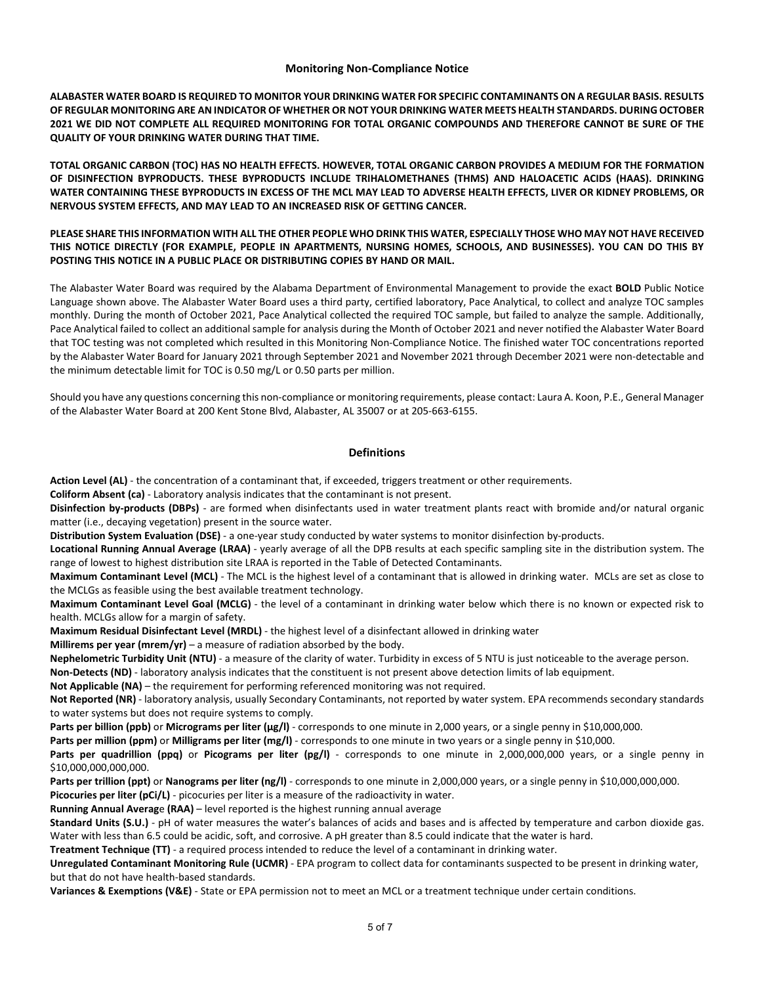### **Monitoring Non-Compliance Notice**

**ALABASTER WATER BOARD IS REQUIRED TO MONITOR YOUR DRINKING WATER FOR SPECIFIC CONTAMINANTS ON A REGULAR BASIS. RESULTS OF REGULAR MONITORING ARE AN INDICATOR OF WHETHER OR NOT YOUR DRINKING WATER MEETS HEALTH STANDARDS. DURING OCTOBER 2021 WE DID NOT COMPLETE ALL REQUIRED MONITORING FOR TOTAL ORGANIC COMPOUNDS AND THEREFORE CANNOT BE SURE OF THE QUALITY OF YOUR DRINKING WATER DURING THAT TIME.**

**TOTAL ORGANIC CARBON (TOC) HAS NO HEALTH EFFECTS. HOWEVER, TOTAL ORGANIC CARBON PROVIDES A MEDIUM FOR THE FORMATION OF DISINFECTION BYPRODUCTS. THESE BYPRODUCTS INCLUDE TRIHALOMETHANES (THMS) AND HALOACETIC ACIDS (HAAS). DRINKING WATER CONTAINING THESE BYPRODUCTS IN EXCESS OF THE MCL MAY LEAD TO ADVERSE HEALTH EFFECTS, LIVER OR KIDNEY PROBLEMS, OR NERVOUS SYSTEM EFFECTS, AND MAY LEAD TO AN INCREASED RISK OF GETTING CANCER.**

### **PLEASE SHARE THIS INFORMATION WITH ALL THE OTHER PEOPLE WHO DRINK THIS WATER, ESPECIALLY THOSE WHO MAY NOT HAVE RECEIVED THIS NOTICE DIRECTLY (FOR EXAMPLE, PEOPLE IN APARTMENTS, NURSING HOMES, SCHOOLS, AND BUSINESSES). YOU CAN DO THIS BY POSTING THIS NOTICE IN A PUBLIC PLACE OR DISTRIBUTING COPIES BY HAND OR MAIL.**

The Alabaster Water Board was required by the Alabama Department of Environmental Management to provide the exact **BOLD** Public Notice Language shown above. The Alabaster Water Board uses a third party, certified laboratory, Pace Analytical, to collect and analyze TOC samples monthly. During the month of October 2021, Pace Analytical collected the required TOC sample, but failed to analyze the sample. Additionally, Pace Analytical failed to collect an additional sample for analysis during the Month of October 2021 and never notified the Alabaster Water Board that TOC testing was not completed which resulted in this Monitoring Non-Compliance Notice. The finished water TOC concentrations reported by the Alabaster Water Board for January 2021 through September 2021 and November 2021 through December 2021 were non-detectable and the minimum detectable limit for TOC is 0.50 mg/L or 0.50 parts per million.

Should you have any questions concerning this non-compliance or monitoring requirements, please contact: Laura A. Koon, P.E., General Manager of the Alabaster Water Board at 200 Kent Stone Blvd, Alabaster, AL 35007 or at 205-663-6155.

#### **Definitions**

**Action Level (AL)** - the concentration of a contaminant that, if exceeded, triggers treatment or other requirements.

**Coliform Absent (ca)** - Laboratory analysis indicates that the contaminant is not present.

**Disinfection by-products (DBPs)** - are formed when disinfectants used in water treatment plants react with bromide and/or natural organic matter (i.e., decaying vegetation) present in the source water.

**Distribution System Evaluation (DSE)** - a one-year study conducted by water systems to monitor disinfection by-products.

**Locational Running Annual Average (LRAA)** - yearly average of all the DPB results at each specific sampling site in the distribution system. The range of lowest to highest distribution site LRAA is reported in the Table of Detected Contaminants.

**Maximum Contaminant Level (MCL)** - The MCL is the highest level of a contaminant that is allowed in drinking water. MCLs are set as close to the MCLGs as feasible using the best available treatment technology.

**Maximum Contaminant Level Goal (MCLG)** - the level of a contaminant in drinking water below which there is no known or expected risk to health. MCLGs allow for a margin of safety.

**Maximum Residual Disinfectant Level (MRDL)** - the highest level of a disinfectant allowed in drinking water

**Millirems per year (mrem/yr)** – a measure of radiation absorbed by the body.

**Nephelometric Turbidity Unit (NTU)** - a measure of the clarity of water. Turbidity in excess of 5 NTU is just noticeable to the average person.

**Non-Detects (ND)** - laboratory analysis indicates that the constituent is not present above detection limits of lab equipment.

Not Applicable (NA) – the requirement for performing referenced monitoring was not required.

**Not Reported (NR)** - laboratory analysis, usually Secondary Contaminants, not reported by water system. EPA recommends secondary standards to water systems but does not require systems to comply.

Parts per billion (ppb) or Micrograms per liter (µg/l) - corresponds to one minute in 2,000 years, or a single penny in \$10,000,000.

**Parts per million (ppm)** or **Milligrams per liter (mg/l)** - corresponds to one minute in two years or a single penny in \$10,000.

**Parts per quadrillion (ppq)** or **Picograms per liter (pg/l)** - corresponds to one minute in 2,000,000,000 years, or a single penny in \$10,000,000,000,000.

Parts per trillion (ppt) or Nanograms per liter (ng/l) - corresponds to one minute in 2,000,000 years, or a single penny in \$10,000,000,000. Picocuries per liter (pCi/L) - picocuries per liter is a measure of the radioactivity in water.

**Running Annual Averag**e **(RAA)** – level reported is the highest running annual average

**Standard Units (S.U.)** - pH of water measures the water's balances of acids and bases and is affected by temperature and carbon dioxide gas. Water with less than 6.5 could be acidic, soft, and corrosive. A pH greater than 8.5 could indicate that the water is hard.

**Treatment Technique (TT)** - a required process intended to reduce the level of a contaminant in drinking water.

**Unregulated Contaminant Monitoring Rule (UCMR)** - EPA program to collect data for contaminants suspected to be present in drinking water, but that do not have health-based standards.

**Variances & Exemptions (V&E)** - State or EPA permission not to meet an MCL or a treatment technique under certain conditions.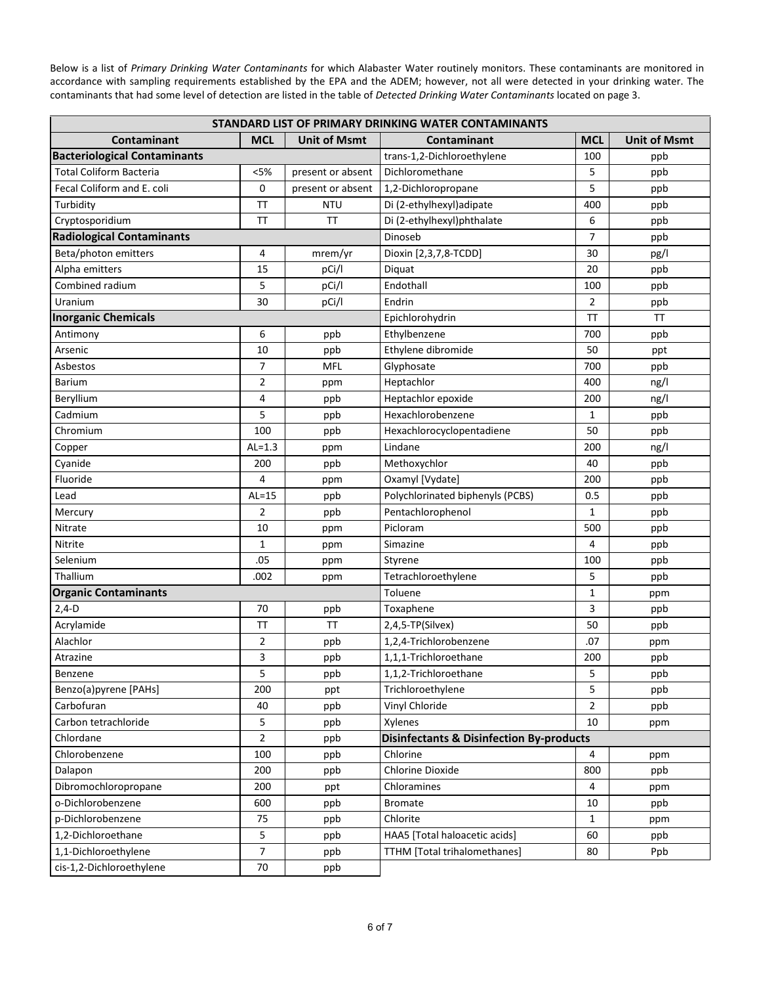Below is a list of *Primary Drinking Water Contaminants* for which Alabaster Water routinely monitors. These contaminants are monitored in accordance with sampling requirements established by the EPA and the ADEM; however, not all were detected in your drinking water. The contaminants that had some level of detection are listed in the table of *Detected Drinking Water Contaminants* located on page 3.

| STANDARD LIST OF PRIMARY DRINKING WATER CONTAMINANTS |            |                     |                                                     |                |                     |  |  |
|------------------------------------------------------|------------|---------------------|-----------------------------------------------------|----------------|---------------------|--|--|
| Contaminant                                          | <b>MCL</b> | <b>Unit of Msmt</b> | Contaminant                                         | <b>MCL</b>     | <b>Unit of Msmt</b> |  |  |
| <b>Bacteriological Contaminants</b>                  |            |                     | trans-1,2-Dichloroethylene                          | 100            | ppb                 |  |  |
| <b>Total Coliform Bacteria</b>                       | < 5%       | present or absent   | Dichloromethane                                     | 5              | ppb                 |  |  |
| Fecal Coliform and E. coli                           | 0          | present or absent   | 1,2-Dichloropropane                                 | 5              | ppb                 |  |  |
| Turbidity                                            | TT         | <b>NTU</b>          | Di (2-ethylhexyl) adipate                           | 400            | ppb                 |  |  |
| Cryptosporidium                                      | TΤ         | ΤT                  | Di (2-ethylhexyl)phthalate                          | 6              | ppb                 |  |  |
| <b>Radiological Contaminants</b>                     |            |                     | Dinoseb                                             | $\overline{7}$ | ppb                 |  |  |
| Beta/photon emitters                                 | 4          | mrem/yr             | Dioxin [2,3,7,8-TCDD]                               | 30             | pg/l                |  |  |
| Alpha emitters                                       | 15         | pCi/l               | Diguat                                              | 20             | ppb                 |  |  |
| Combined radium                                      | 5          | pCi/l               | Endothall                                           | 100            | ppb                 |  |  |
| Uranium                                              | 30         | pCi/l               | Endrin                                              | 2              | ppb                 |  |  |
| <b>Inorganic Chemicals</b>                           |            |                     | Epichlorohydrin                                     | <b>TT</b>      | TT.                 |  |  |
| Antimony                                             | 6          | ppb                 | Ethylbenzene                                        | 700            | ppb                 |  |  |
| Arsenic                                              | 10         | ppb                 | Ethylene dibromide                                  | 50             | ppt                 |  |  |
| Asbestos                                             | 7          | <b>MFL</b>          | Glyphosate                                          | 700            | ppb                 |  |  |
| <b>Barium</b>                                        | 2          | ppm                 | Heptachlor                                          | 400            | ng/l                |  |  |
| Beryllium                                            | 4          | ppb                 | Heptachlor epoxide                                  | 200            | ng/l                |  |  |
| Cadmium                                              | 5          | ppb                 | Hexachlorobenzene                                   | 1              | ppb                 |  |  |
| Chromium                                             | 100        | ppb                 | Hexachlorocyclopentadiene                           | 50             | ppb                 |  |  |
| Copper                                               | $AL=1.3$   | ppm                 | Lindane                                             | 200            | ng/l                |  |  |
| Cyanide                                              | 200        | ppb                 | Methoxychlor                                        | 40             | ppb                 |  |  |
| Fluoride                                             | 4          | ppm                 | Oxamyl [Vydate]                                     | 200            | ppb                 |  |  |
| Lead                                                 | $AL=15$    | ppb                 | Polychlorinated biphenyls (PCBS)                    | 0.5            | ppb                 |  |  |
| Mercury                                              | 2          | ppb                 | Pentachlorophenol                                   | 1              | ppb                 |  |  |
| Nitrate                                              | 10         | ppm                 | Picloram                                            | 500            | ppb                 |  |  |
| Nitrite                                              | 1          | ppm                 | Simazine                                            | $\overline{4}$ | ppb                 |  |  |
| Selenium                                             | .05        | ppm                 | Styrene                                             | 100            | ppb                 |  |  |
| Thallium                                             | .002       | ppm                 | Tetrachloroethylene                                 | 5              | ppb                 |  |  |
| <b>Organic Contaminants</b>                          |            |                     | Toluene                                             | 1              | ppm                 |  |  |
| $2,4-D$                                              | 70         | ppb                 | Toxaphene                                           | 3              | ppb                 |  |  |
| Acrylamide                                           | TT         | TT                  | 2,4,5-TP(Silvex)                                    | 50             | ppb                 |  |  |
| Alachlor                                             | 2          | ppb                 | 1,2,4-Trichlorobenzene                              | .07            | ppm                 |  |  |
| Atrazine                                             | 3          | ppb                 | 1,1,1-Trichloroethane                               | 200            | ppb                 |  |  |
| Benzene                                              | 5          | ppp                 | $1, 1, 2$ -Trichloroethane                          | 5              | ppp                 |  |  |
| Benzo(a)pyrene [PAHs]                                | 200        | ppt                 | Trichloroethylene                                   | 5              | ppb                 |  |  |
| Carbofuran                                           | 40         | ppb                 | Vinyl Chloride                                      | $\overline{2}$ | ppb                 |  |  |
| Carbon tetrachloride                                 | 5          | ppb                 | Xylenes                                             | 10             | ppm                 |  |  |
| Chlordane                                            | 2          | ppb                 | <b>Disinfectants &amp; Disinfection By-products</b> |                |                     |  |  |
| Chlorobenzene                                        | 100        | ppb                 | Chlorine                                            | 4              | ppm                 |  |  |
| Dalapon                                              | 200        | ppb                 | Chlorine Dioxide                                    | 800            | ppb                 |  |  |
| Dibromochloropropane                                 | 200        | ppt                 | Chloramines                                         | 4              | ppm                 |  |  |
| o-Dichlorobenzene                                    | 600        | ppb                 | <b>Bromate</b>                                      | 10             | ppb                 |  |  |
| p-Dichlorobenzene                                    | 75         | ppb                 | Chlorite                                            | 1              | ppm                 |  |  |
| 1,2-Dichloroethane                                   | 5          | ppb                 | HAA5 [Total haloacetic acids]                       | 60             | ppb                 |  |  |
| 1,1-Dichloroethylene                                 | 7          | ppb                 | TTHM [Total trihalomethanes]                        | 80             | Ppb                 |  |  |
| cis-1,2-Dichloroethylene                             | 70         | ppb                 |                                                     |                |                     |  |  |